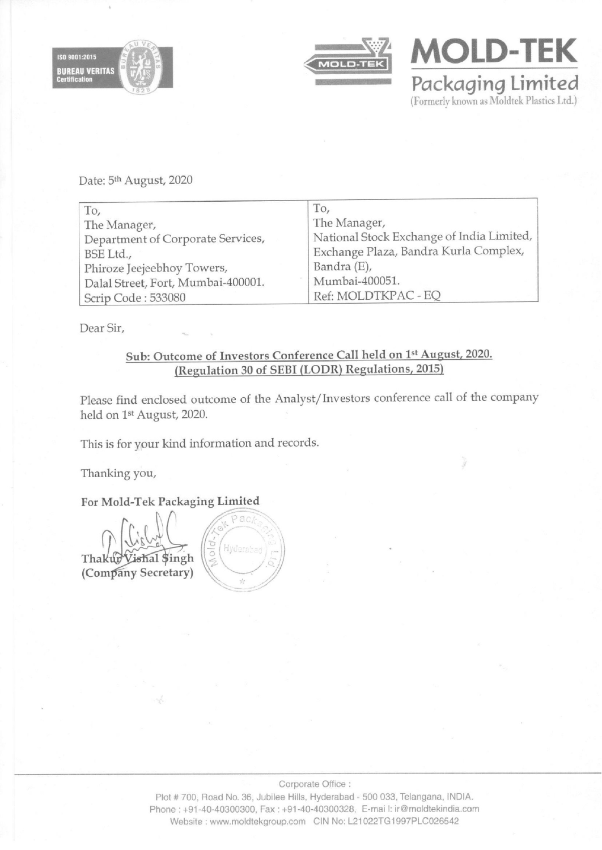





Date: 5<sup>th</sup> August, 2020

|                                                                             | To,                                                                                                                     |
|-----------------------------------------------------------------------------|-------------------------------------------------------------------------------------------------------------------------|
| To,                                                                         | The Manager,                                                                                                            |
| The Manager,                                                                | National Stock Exchange of India Limited,                                                                               |
| Department of Corporate Services,                                           | Exchange Plaza, Bandra Kurla Complex,                                                                                   |
| BSE Ltd.,                                                                   | Bandra (E),                                                                                                             |
| Phiroze Jeejeebhoy Towers,                                                  | Mumbai-400051.                                                                                                          |
| Dalal Street, Fort, Mumbai-400001.                                          | Ref: MOLDTKPAC - EQ                                                                                                     |
| Scrip Code: 533080                                                          |                                                                                                                         |
| Dear Sir,                                                                   |                                                                                                                         |
|                                                                             | Sub: Outcome of Investors Conference Call held on 1st August, 2020.<br>(Regulation 30 of SEBI (LODR) Regulations, 2015) |
| held on 1 <sup>st</sup> August, 2020.                                       | Please find enclosed outcome of the Analyst/Investors conference call of the company                                    |
| This is for your kind information and records.                              |                                                                                                                         |
| Thanking you,                                                               |                                                                                                                         |
| For Mold-Tek Packaging Limited                                              |                                                                                                                         |
| Pac/<br>hold.<br>Hyderaba<br>Vishal \$ingh<br>Thakup<br>(Company Secretary) |                                                                                                                         |
|                                                                             |                                                                                                                         |
|                                                                             |                                                                                                                         |
|                                                                             |                                                                                                                         |
|                                                                             |                                                                                                                         |
|                                                                             |                                                                                                                         |
|                                                                             |                                                                                                                         |
|                                                                             |                                                                                                                         |
|                                                                             |                                                                                                                         |
|                                                                             |                                                                                                                         |
|                                                                             |                                                                                                                         |
|                                                                             |                                                                                                                         |
|                                                                             |                                                                                                                         |
|                                                                             | Corporate Office:                                                                                                       |

## Sub: Outcome of Investors Conference Call held on 1% August, 2020. (Regulation 30 of SEBI (LODR) Regulations, 2015)

# For Mold-Tek Packaging Limited

Plot # 700, Road No. 36, Jubilee Hills, Hyderabad - 500 033, Telangana, INDIA. Phone : +91-40-40300300, Fax : +91-40-40300328, E-mai |: ir@moldtekindia.com Website : www.moldtekgroup.com CIN No: L21022TG1997PLC026542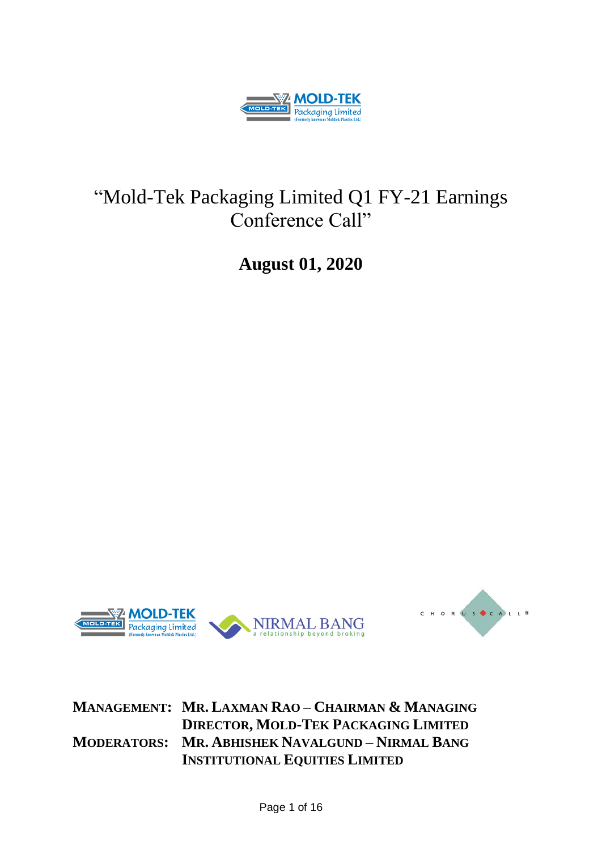

# "Mold-Tek Packaging Limited Q1 FY-21 Earnings Conference Call"

**August 01, 2020**





# **MANAGEMENT: MR. LAXMAN RAO – CHAIRMAN & MANAGING DIRECTOR, MOLD-TEK PACKAGING LIMITED MODERATORS: MR. ABHISHEK NAVALGUND – NIRMAL BANG INSTITUTIONAL EQUITIES LIMITED**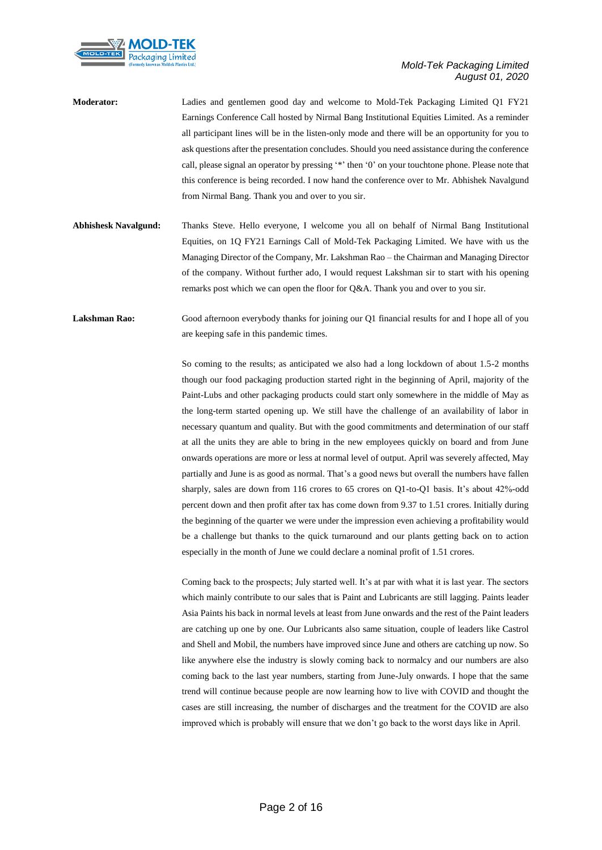

**Moderator:** Ladies and gentlemen good day and welcome to Mold-Tek Packaging Limited Q1 FY21 Earnings Conference Call hosted by Nirmal Bang Institutional Equities Limited. As a reminder all participant lines will be in the listen-only mode and there will be an opportunity for you to ask questions after the presentation concludes. Should you need assistance during the conference call, please signal an operator by pressing '\*' then '0' on your touchtone phone. Please note that this conference is being recorded. I now hand the conference over to Mr. Abhishek Navalgund from Nirmal Bang. Thank you and over to you sir.

**Abhishesk Navalgund:** Thanks Steve. Hello everyone, I welcome you all on behalf of Nirmal Bang Institutional Equities, on 1Q FY21 Earnings Call of Mold-Tek Packaging Limited. We have with us the Managing Director of the Company, Mr. Lakshman Rao – the Chairman and Managing Director of the company. Without further ado, I would request Lakshman sir to start with his opening remarks post which we can open the floor for Q&A. Thank you and over to you sir.

Lakshman Rao: Good afternoon everybody thanks for joining our Q1 financial results for and I hope all of you are keeping safe in this pandemic times.

> So coming to the results; as anticipated we also had a long lockdown of about 1.5-2 months though our food packaging production started right in the beginning of April, majority of the Paint-Lubs and other packaging products could start only somewhere in the middle of May as the long-term started opening up. We still have the challenge of an availability of labor in necessary quantum and quality. But with the good commitments and determination of our staff at all the units they are able to bring in the new employees quickly on board and from June onwards operations are more or less at normal level of output. April was severely affected, May partially and June is as good as normal. That's a good news but overall the numbers have fallen sharply, sales are down from 116 crores to 65 crores on Q1-to-Q1 basis. It's about 42%-odd percent down and then profit after tax has come down from 9.37 to 1.51 crores. Initially during the beginning of the quarter we were under the impression even achieving a profitability would be a challenge but thanks to the quick turnaround and our plants getting back on to action especially in the month of June we could declare a nominal profit of 1.51 crores.

> Coming back to the prospects; July started well. It's at par with what it is last year. The sectors which mainly contribute to our sales that is Paint and Lubricants are still lagging. Paints leader Asia Paints his back in normal levels at least from June onwards and the rest of the Paint leaders are catching up one by one. Our Lubricants also same situation, couple of leaders like Castrol and Shell and Mobil, the numbers have improved since June and others are catching up now. So like anywhere else the industry is slowly coming back to normalcy and our numbers are also coming back to the last year numbers, starting from June-July onwards. I hope that the same trend will continue because people are now learning how to live with COVID and thought the cases are still increasing, the number of discharges and the treatment for the COVID are also improved which is probably will ensure that we don't go back to the worst days like in April.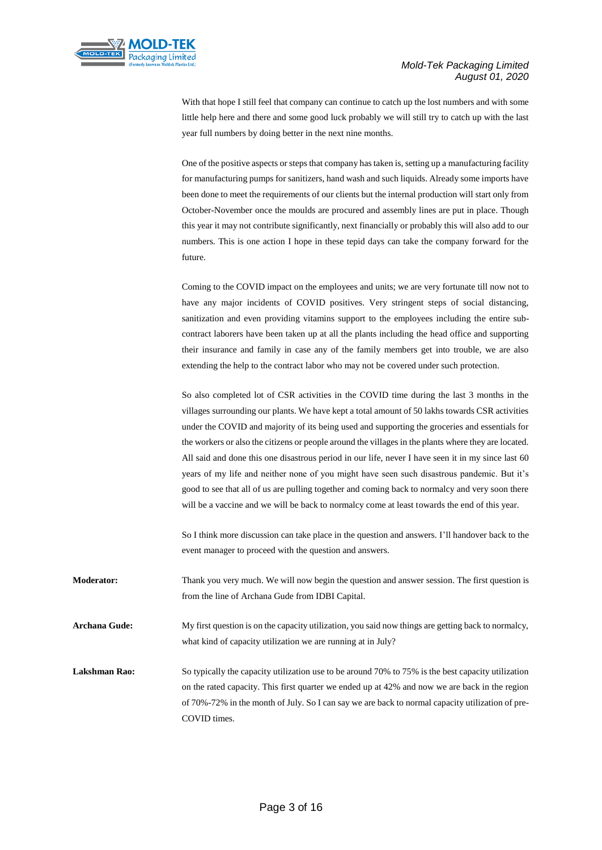



With that hope I still feel that company can continue to catch up the lost numbers and with some little help here and there and some good luck probably we will still try to catch up with the last year full numbers by doing better in the next nine months.

One of the positive aspects or steps that company has taken is, setting up a manufacturing facility for manufacturing pumps for sanitizers, hand wash and such liquids. Already some imports have been done to meet the requirements of our clients but the internal production will start only from October-November once the moulds are procured and assembly lines are put in place. Though this year it may not contribute significantly, next financially or probably this will also add to our numbers. This is one action I hope in these tepid days can take the company forward for the future.

Coming to the COVID impact on the employees and units; we are very fortunate till now not to have any major incidents of COVID positives. Very stringent steps of social distancing, sanitization and even providing vitamins support to the employees including the entire subcontract laborers have been taken up at all the plants including the head office and supporting their insurance and family in case any of the family members get into trouble, we are also extending the help to the contract labor who may not be covered under such protection.

So also completed lot of CSR activities in the COVID time during the last 3 months in the villages surrounding our plants. We have kept a total amount of 50 lakhs towards CSR activities under the COVID and majority of its being used and supporting the groceries and essentials for the workers or also the citizens or people around the villages in the plants where they are located. All said and done this one disastrous period in our life, never I have seen it in my since last 60 years of my life and neither none of you might have seen such disastrous pandemic. But it's good to see that all of us are pulling together and coming back to normalcy and very soon there will be a vaccine and we will be back to normalcy come at least towards the end of this year.

So I think more discussion can take place in the question and answers. I'll handover back to the event manager to proceed with the question and answers.

**Moderator:** Thank you very much. We will now begin the question and answer session. The first question is from the line of Archana Gude from IDBI Capital.

**Archana Gude:** My first question is on the capacity utilization, you said now things are getting back to normalcy, what kind of capacity utilization we are running at in July?

Lakshman Rao: So typically the capacity utilization use to be around 70% to 75% is the best capacity utilization on the rated capacity. This first quarter we ended up at 42% and now we are back in the region of 70%-72% in the month of July. So I can say we are back to normal capacity utilization of pre-COVID times.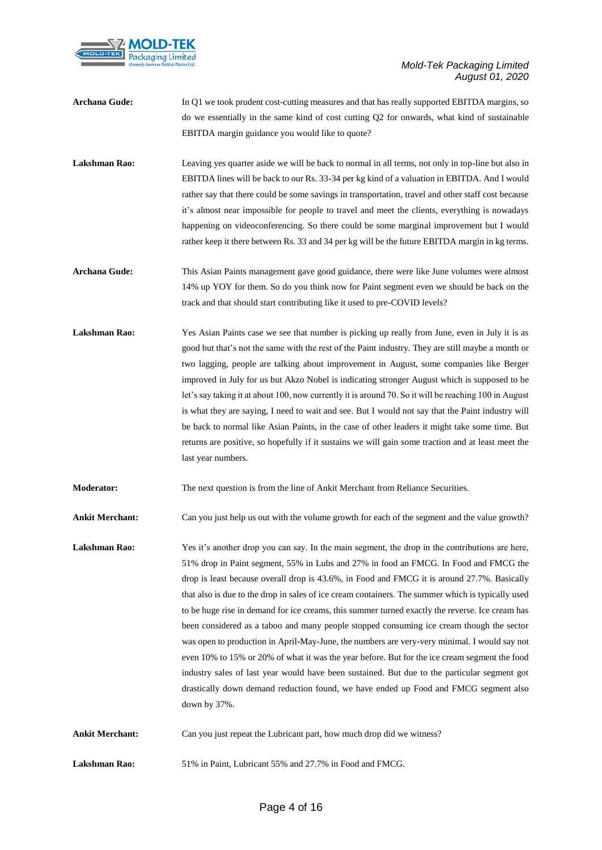

**Archana Gude:** In Q1 we took prudent cost-cutting measures and that has really supported EBITDA margins, so do we essentially in the same kind of cost cutting Q2 for onwards, what kind of sustainable EBITDA margin guidance you would like to quote?

Lakshman Rao: Leaving yes quarter aside we will be back to normal in all terms, not only in top-line but also in EBITDA lines will be back to our Rs. 33-34 per kg kind of a valuation in EBITDA. And I would rather say that there could be some savings in transportation, travel and other staff cost because it's almost near impossible for people to travel and meet the clients, everything is nowadays happening on videoconferencing. So there could be some marginal improvement but I would rather keep it there between Rs. 33 and 34 per kg will be the future EBITDA margin in kg terms.

- **Archana Gude:** This Asian Paints management gave good guidance, there were like June volumes were almost 14% up YOY for them. So do you think now for Paint segment even we should be back on the track and that should start contributing like it used to pre-COVID levels?
- Lakshman Rao: Yes Asian Paints case we see that number is picking up really from June, even in July it is as good but that's not the same with the rest of the Paint industry. They are still maybe a month or two lagging, people are talking about improvement in August, some companies like Berger improved in July for us but Akzo Nobel is indicating stronger August which is supposed to be let's say taking it at about 100, now currently it is around 70. So it will be reaching 100 in August is what they are saying, I need to wait and see. But I would not say that the Paint industry will be back to normal like Asian Paints, in the case of other leaders it might take some time. But returns are positive, so hopefully if it sustains we will gain some traction and at least meet the last year numbers.
- **Moderator:** The next question is from the line of Ankit Merchant from Reliance Securities.

**Ankit Merchant:** Can you just help us out with the volume growth for each of the segment and the value growth?

- Lakshman Rao: Yes it's another drop you can say. In the main segment, the drop in the contributions are here, 51% drop in Paint segment, 55% in Lubs and 27% in food an FMCG. In Food and FMCG the drop is least because overall drop is 43.6%, in Food and FMCG it is around 27.7%. Basically that also is due to the drop in sales of ice cream containers. The summer which is typically used to be huge rise in demand for ice creams, this summer turned exactly the reverse. Ice cream has been considered as a taboo and many people stopped consuming ice cream though the sector was open to production in April-May-June, the numbers are very-very minimal. I would say not even 10% to 15% or 20% of what it was the year before. But for the ice cream segment the food industry sales of last year would have been sustained. But due to the particular segment got drastically down demand reduction found, we have ended up Food and FMCG segment also down by 37%.
- **Ankit Merchant:** Can you just repeat the Lubricant part, how much drop did we witness?
- **Lakshman Rao:** 51% in Paint, Lubricant 55% and 27.7% in Food and FMCG.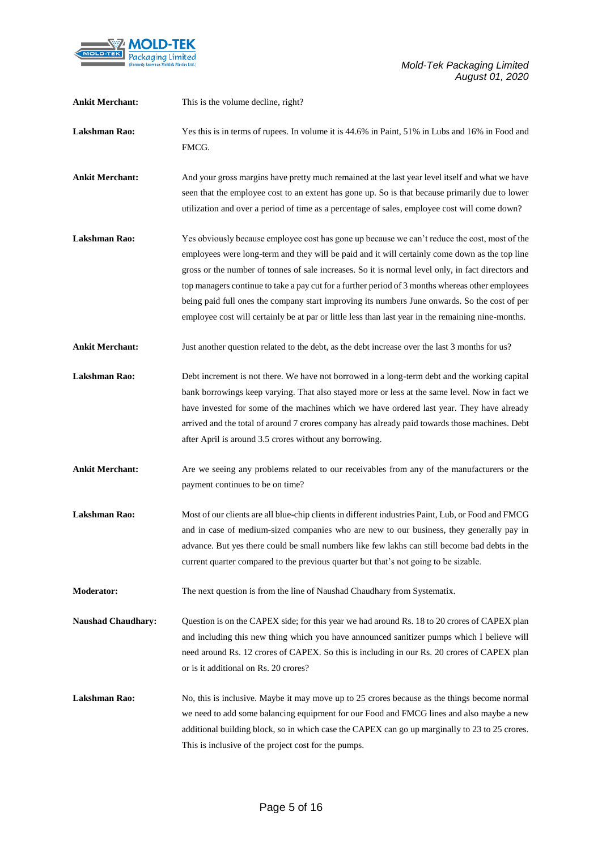

| <b>Ankit Merchant:</b>    | This is the volume decline, right?                                                                                                                                                                                                                                                                                                                                                                                                                                                                                                                                                                               |
|---------------------------|------------------------------------------------------------------------------------------------------------------------------------------------------------------------------------------------------------------------------------------------------------------------------------------------------------------------------------------------------------------------------------------------------------------------------------------------------------------------------------------------------------------------------------------------------------------------------------------------------------------|
| <b>Lakshman Rao:</b>      | Yes this is in terms of rupees. In volume it is 44.6% in Paint, 51% in Lubs and 16% in Food and<br>FMCG.                                                                                                                                                                                                                                                                                                                                                                                                                                                                                                         |
| <b>Ankit Merchant:</b>    | And your gross margins have pretty much remained at the last year level itself and what we have<br>seen that the employee cost to an extent has gone up. So is that because primarily due to lower<br>utilization and over a period of time as a percentage of sales, employee cost will come down?                                                                                                                                                                                                                                                                                                              |
| <b>Lakshman Rao:</b>      | Yes obviously because employee cost has gone up because we can't reduce the cost, most of the<br>employees were long-term and they will be paid and it will certainly come down as the top line<br>gross or the number of tonnes of sale increases. So it is normal level only, in fact directors and<br>top managers continue to take a pay cut for a further period of 3 months whereas other employees<br>being paid full ones the company start improving its numbers June onwards. So the cost of per<br>employee cost will certainly be at par or little less than last year in the remaining nine-months. |
| <b>Ankit Merchant:</b>    | Just another question related to the debt, as the debt increase over the last 3 months for us?                                                                                                                                                                                                                                                                                                                                                                                                                                                                                                                   |
| <b>Lakshman Rao:</b>      | Debt increment is not there. We have not borrowed in a long-term debt and the working capital<br>bank borrowings keep varying. That also stayed more or less at the same level. Now in fact we<br>have invested for some of the machines which we have ordered last year. They have already<br>arrived and the total of around 7 crores company has already paid towards those machines. Debt<br>after April is around 3.5 crores without any borrowing.                                                                                                                                                         |
| <b>Ankit Merchant:</b>    | Are we seeing any problems related to our receivables from any of the manufacturers or the<br>payment continues to be on time?                                                                                                                                                                                                                                                                                                                                                                                                                                                                                   |
| <b>Lakshman Rao:</b>      | Most of our clients are all blue-chip clients in different industries Paint, Lub, or Food and FMCG<br>and in case of medium-sized companies who are new to our business, they generally pay in<br>advance. But yes there could be small numbers like few lakhs can still become bad debts in the<br>current quarter compared to the previous quarter but that's not going to be sizable.                                                                                                                                                                                                                         |
| <b>Moderator:</b>         | The next question is from the line of Naushad Chaudhary from Systematix.                                                                                                                                                                                                                                                                                                                                                                                                                                                                                                                                         |
| <b>Naushad Chaudhary:</b> | Question is on the CAPEX side; for this year we had around Rs. 18 to 20 crores of CAPEX plan<br>and including this new thing which you have announced sanitizer pumps which I believe will<br>need around Rs. 12 crores of CAPEX. So this is including in our Rs. 20 crores of CAPEX plan<br>or is it additional on Rs. 20 crores?                                                                                                                                                                                                                                                                               |
| Lakshman Rao:             | No, this is inclusive. Maybe it may move up to 25 crores because as the things become normal<br>we need to add some balancing equipment for our Food and FMCG lines and also maybe a new<br>additional building block, so in which case the CAPEX can go up marginally to 23 to 25 crores.<br>This is inclusive of the project cost for the pumps.                                                                                                                                                                                                                                                               |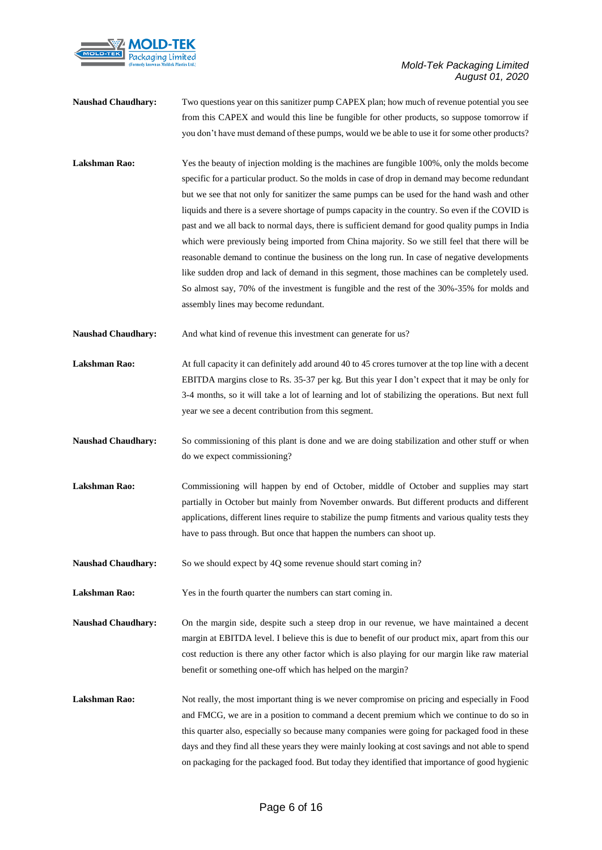

- **Naushad Chaudhary:** Two questions year on this sanitizer pump CAPEX plan; how much of revenue potential you see from this CAPEX and would this line be fungible for other products, so suppose tomorrow if you don't have must demand of these pumps, would we be able to use it for some other products?
- Lakshman Rao: Yes the beauty of injection molding is the machines are fungible 100%, only the molds become specific for a particular product. So the molds in case of drop in demand may become redundant but we see that not only for sanitizer the same pumps can be used for the hand wash and other liquids and there is a severe shortage of pumps capacity in the country. So even if the COVID is past and we all back to normal days, there is sufficient demand for good quality pumps in India which were previously being imported from China majority. So we still feel that there will be reasonable demand to continue the business on the long run. In case of negative developments like sudden drop and lack of demand in this segment, those machines can be completely used. So almost say, 70% of the investment is fungible and the rest of the 30%-35% for molds and assembly lines may become redundant.
- **Naushad Chaudhary:** And what kind of revenue this investment can generate for us?
- Lakshman Rao: At full capacity it can definitely add around 40 to 45 crores turnover at the top line with a decent EBITDA margins close to Rs. 35-37 per kg. But this year I don't expect that it may be only for 3-4 months, so it will take a lot of learning and lot of stabilizing the operations. But next full year we see a decent contribution from this segment.
- **Naushad Chaudhary:** So commissioning of this plant is done and we are doing stabilization and other stuff or when do we expect commissioning?
- Lakshman Rao: Commissioning will happen by end of October, middle of October and supplies may start partially in October but mainly from November onwards. But different products and different applications, different lines require to stabilize the pump fitments and various quality tests they have to pass through. But once that happen the numbers can shoot up.
- **Naushad Chaudhary:** So we should expect by 4Q some revenue should start coming in?

Lakshman Rao: Yes in the fourth quarter the numbers can start coming in.

- **Naushad Chaudhary:** On the margin side, despite such a steep drop in our revenue, we have maintained a decent margin at EBITDA level. I believe this is due to benefit of our product mix, apart from this our cost reduction is there any other factor which is also playing for our margin like raw material benefit or something one-off which has helped on the margin?
- Lakshman Rao: Not really, the most important thing is we never compromise on pricing and especially in Food and FMCG, we are in a position to command a decent premium which we continue to do so in this quarter also, especially so because many companies were going for packaged food in these days and they find all these years they were mainly looking at cost savings and not able to spend on packaging for the packaged food. But today they identified that importance of good hygienic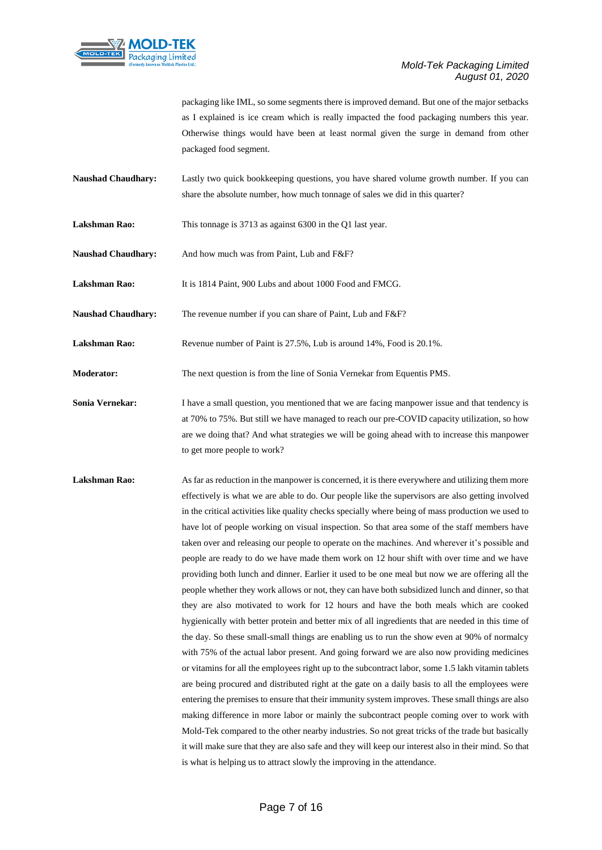

packaging like IML, so some segments there is improved demand. But one of the major setbacks as I explained is ice cream which is really impacted the food packaging numbers this year. Otherwise things would have been at least normal given the surge in demand from other packaged food segment.

- **Naushad Chaudhary:** Lastly two quick bookkeeping questions, you have shared volume growth number. If you can share the absolute number, how much tonnage of sales we did in this quarter?
- Lakshman Rao: This tonnage is 3713 as against 6300 in the Q1 last year.
- Naushad Chaudhary: And how much was from Paint, Lub and F&F?
- **Lakshman Rao:** It is 1814 Paint, 900 Lubs and about 1000 Food and FMCG.
- Naushad Chaudhary: The revenue number if you can share of Paint, Lub and F&F?
- **Lakshman Rao:** Revenue number of Paint is 27.5%, Lub is around 14%, Food is 20.1%.

**Moderator:** The next question is from the line of Sonia Vernekar from Equentis PMS.

- **Sonia Vernekar:** I have a small question, you mentioned that we are facing manpower issue and that tendency is at 70% to 75%. But still we have managed to reach our pre-COVID capacity utilization, so how are we doing that? And what strategies we will be going ahead with to increase this manpower to get more people to work?
- Lakshman Rao: As far as reduction in the manpower is concerned, it is there everywhere and utilizing them more effectively is what we are able to do. Our people like the supervisors are also getting involved in the critical activities like quality checks specially where being of mass production we used to have lot of people working on visual inspection. So that area some of the staff members have taken over and releasing our people to operate on the machines. And wherever it's possible and people are ready to do we have made them work on 12 hour shift with over time and we have providing both lunch and dinner. Earlier it used to be one meal but now we are offering all the people whether they work allows or not, they can have both subsidized lunch and dinner, so that they are also motivated to work for 12 hours and have the both meals which are cooked hygienically with better protein and better mix of all ingredients that are needed in this time of the day. So these small-small things are enabling us to run the show even at 90% of normalcy with 75% of the actual labor present. And going forward we are also now providing medicines or vitamins for all the employees right up to the subcontract labor, some 1.5 lakh vitamin tablets are being procured and distributed right at the gate on a daily basis to all the employees were entering the premises to ensure that their immunity system improves. These small things are also making difference in more labor or mainly the subcontract people coming over to work with Mold-Tek compared to the other nearby industries. So not great tricks of the trade but basically it will make sure that they are also safe and they will keep our interest also in their mind. So that is what is helping us to attract slowly the improving in the attendance.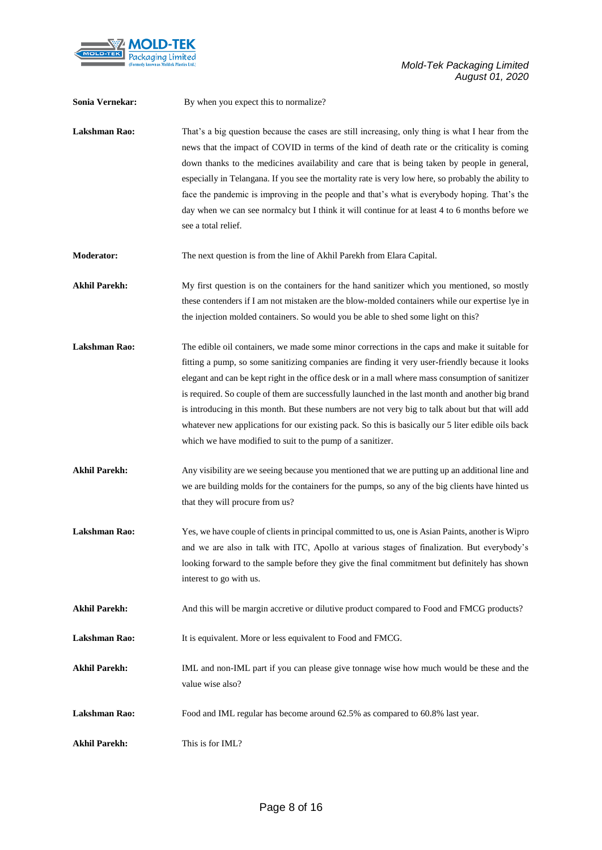

| Sonia Vernekar:      | By when you expect this to normalize?                                                                                                                                                                                                                                                                                                                                                                                                                                                                                                                                                                                                                                              |
|----------------------|------------------------------------------------------------------------------------------------------------------------------------------------------------------------------------------------------------------------------------------------------------------------------------------------------------------------------------------------------------------------------------------------------------------------------------------------------------------------------------------------------------------------------------------------------------------------------------------------------------------------------------------------------------------------------------|
| <b>Lakshman Rao:</b> | That's a big question because the cases are still increasing, only thing is what I hear from the<br>news that the impact of COVID in terms of the kind of death rate or the criticality is coming<br>down thanks to the medicines availability and care that is being taken by people in general,<br>especially in Telangana. If you see the mortality rate is very low here, so probably the ability to<br>face the pandemic is improving in the people and that's what is everybody hoping. That's the<br>day when we can see normalcy but I think it will continue for at least 4 to 6 months before we<br>see a total relief.                                                  |
| <b>Moderator:</b>    | The next question is from the line of Akhil Parekh from Elara Capital.                                                                                                                                                                                                                                                                                                                                                                                                                                                                                                                                                                                                             |
| <b>Akhil Parekh:</b> | My first question is on the containers for the hand sanitizer which you mentioned, so mostly<br>these contenders if I am not mistaken are the blow-molded containers while our expertise lye in<br>the injection molded containers. So would you be able to shed some light on this?                                                                                                                                                                                                                                                                                                                                                                                               |
| <b>Lakshman Rao:</b> | The edible oil containers, we made some minor corrections in the caps and make it suitable for<br>fitting a pump, so some sanitizing companies are finding it very user-friendly because it looks<br>elegant and can be kept right in the office desk or in a mall where mass consumption of sanitizer<br>is required. So couple of them are successfully launched in the last month and another big brand<br>is introducing in this month. But these numbers are not very big to talk about but that will add<br>whatever new applications for our existing pack. So this is basically our 5 liter edible oils back<br>which we have modified to suit to the pump of a sanitizer. |
| <b>Akhil Parekh:</b> | Any visibility are we seeing because you mentioned that we are putting up an additional line and<br>we are building molds for the containers for the pumps, so any of the big clients have hinted us<br>that they will procure from us?                                                                                                                                                                                                                                                                                                                                                                                                                                            |
| <b>Lakshman Rao:</b> | Yes, we have couple of clients in principal committed to us, one is Asian Paints, another is Wipro<br>and we are also in talk with ITC, Apollo at various stages of finalization. But everybody's<br>looking forward to the sample before they give the final commitment but definitely has shown<br>interest to go with us.                                                                                                                                                                                                                                                                                                                                                       |
| <b>Akhil Parekh:</b> | And this will be margin accretive or dilutive product compared to Food and FMCG products?                                                                                                                                                                                                                                                                                                                                                                                                                                                                                                                                                                                          |
| <b>Lakshman Rao:</b> | It is equivalent. More or less equivalent to Food and FMCG.                                                                                                                                                                                                                                                                                                                                                                                                                                                                                                                                                                                                                        |
| <b>Akhil Parekh:</b> | IML and non-IML part if you can please give tonnage wise how much would be these and the<br>value wise also?                                                                                                                                                                                                                                                                                                                                                                                                                                                                                                                                                                       |
| Lakshman Rao:        | Food and IML regular has become around 62.5% as compared to 60.8% last year.                                                                                                                                                                                                                                                                                                                                                                                                                                                                                                                                                                                                       |
| <b>Akhil Parekh:</b> | This is for IML?                                                                                                                                                                                                                                                                                                                                                                                                                                                                                                                                                                                                                                                                   |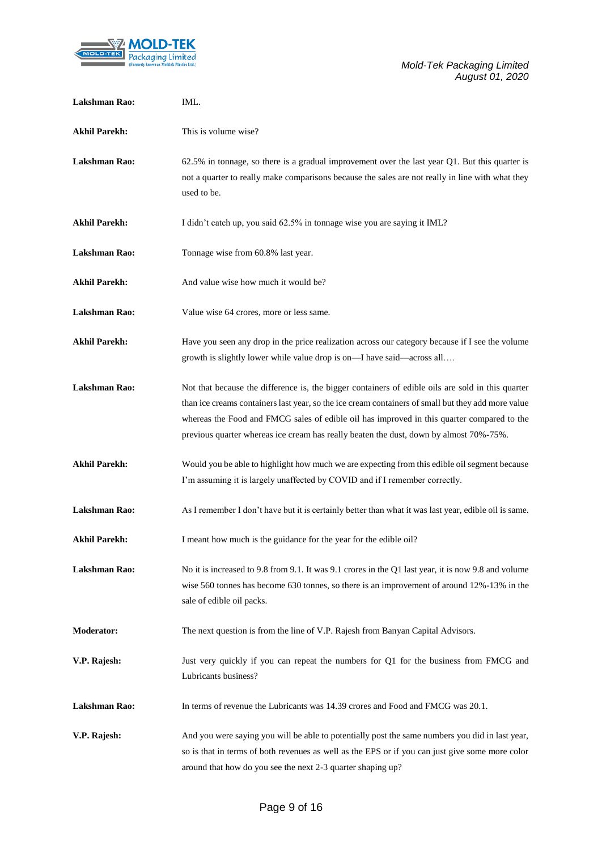

| <b>Lakshman Rao:</b> | IML.                                                                                                                                                                                                                                                                                                                                                                                            |
|----------------------|-------------------------------------------------------------------------------------------------------------------------------------------------------------------------------------------------------------------------------------------------------------------------------------------------------------------------------------------------------------------------------------------------|
| <b>Akhil Parekh:</b> | This is volume wise?                                                                                                                                                                                                                                                                                                                                                                            |
| Lakshman Rao:        | 62.5% in tonnage, so there is a gradual improvement over the last year Q1. But this quarter is<br>not a quarter to really make comparisons because the sales are not really in line with what they<br>used to be.                                                                                                                                                                               |
| <b>Akhil Parekh:</b> | I didn't catch up, you said 62.5% in tonnage wise you are saying it IML?                                                                                                                                                                                                                                                                                                                        |
| Lakshman Rao:        | Tonnage wise from 60.8% last year.                                                                                                                                                                                                                                                                                                                                                              |
| <b>Akhil Parekh:</b> | And value wise how much it would be?                                                                                                                                                                                                                                                                                                                                                            |
| Lakshman Rao:        | Value wise 64 crores, more or less same.                                                                                                                                                                                                                                                                                                                                                        |
| <b>Akhil Parekh:</b> | Have you seen any drop in the price realization across our category because if I see the volume<br>growth is slightly lower while value drop is on—I have said—across all                                                                                                                                                                                                                       |
| <b>Lakshman Rao:</b> | Not that because the difference is, the bigger containers of edible oils are sold in this quarter<br>than ice creams containers last year, so the ice cream containers of small but they add more value<br>whereas the Food and FMCG sales of edible oil has improved in this quarter compared to the<br>previous quarter whereas ice cream has really beaten the dust, down by almost 70%-75%. |
| <b>Akhil Parekh:</b> | Would you be able to highlight how much we are expecting from this edible oil segment because<br>I'm assuming it is largely unaffected by COVID and if I remember correctly.                                                                                                                                                                                                                    |
| Lakshman Rao:        | As I remember I don't have but it is certainly better than what it was last year, edible oil is same.                                                                                                                                                                                                                                                                                           |
| <b>Akhil Parekh:</b> | I meant how much is the guidance for the year for the edible oil?                                                                                                                                                                                                                                                                                                                               |
| <b>Lakshman Rao:</b> | No it is increased to 9.8 from 9.1. It was 9.1 crores in the Q1 last year, it is now 9.8 and volume<br>wise 560 tonnes has become 630 tonnes, so there is an improvement of around $12\% -13\%$ in the<br>sale of edible oil packs.                                                                                                                                                             |
| <b>Moderator:</b>    | The next question is from the line of V.P. Rajesh from Banyan Capital Advisors.                                                                                                                                                                                                                                                                                                                 |
| V.P. Rajesh:         | Just very quickly if you can repeat the numbers for Q1 for the business from FMCG and<br>Lubricants business?                                                                                                                                                                                                                                                                                   |
| Lakshman Rao:        | In terms of revenue the Lubricants was 14.39 crores and Food and FMCG was 20.1.                                                                                                                                                                                                                                                                                                                 |
| V.P. Rajesh:         | And you were saying you will be able to potentially post the same numbers you did in last year,<br>so is that in terms of both revenues as well as the EPS or if you can just give some more color<br>around that how do you see the next 2-3 quarter shaping up?                                                                                                                               |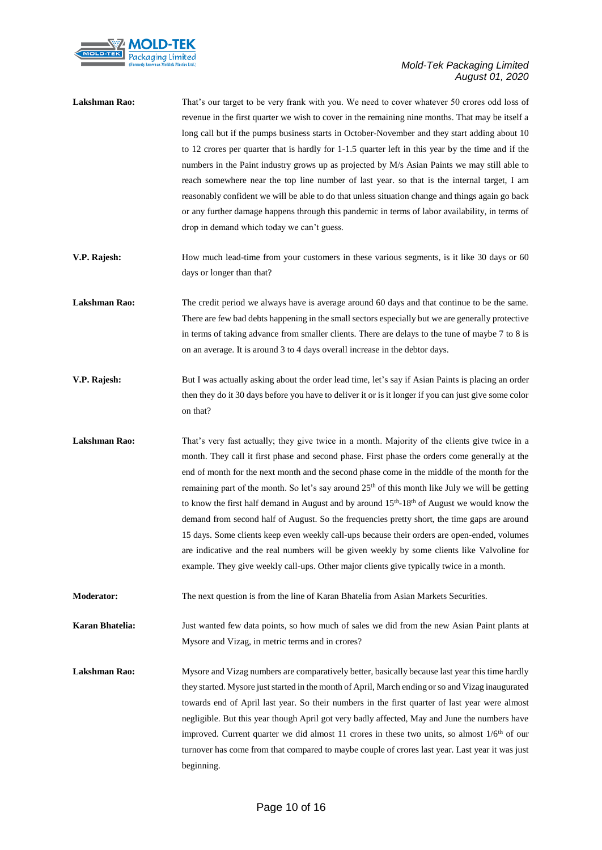

| Lakshman Rao:        | That's our target to be very frank with you. We need to cover whatever 50 crores odd loss of<br>revenue in the first quarter we wish to cover in the remaining nine months. That may be itself a<br>long call but if the pumps business starts in October-November and they start adding about 10<br>to 12 crores per quarter that is hardly for 1-1.5 quarter left in this year by the time and if the<br>numbers in the Paint industry grows up as projected by M/s Asian Paints we may still able to<br>reach somewhere near the top line number of last year. so that is the internal target, I am<br>reasonably confident we will be able to do that unless situation change and things again go back<br>or any further damage happens through this pandemic in terms of labor availability, in terms of<br>drop in demand which today we can't guess.                                                                         |
|----------------------|-------------------------------------------------------------------------------------------------------------------------------------------------------------------------------------------------------------------------------------------------------------------------------------------------------------------------------------------------------------------------------------------------------------------------------------------------------------------------------------------------------------------------------------------------------------------------------------------------------------------------------------------------------------------------------------------------------------------------------------------------------------------------------------------------------------------------------------------------------------------------------------------------------------------------------------|
| V.P. Rajesh:         | How much lead-time from your customers in these various segments, is it like 30 days or 60<br>days or longer than that?                                                                                                                                                                                                                                                                                                                                                                                                                                                                                                                                                                                                                                                                                                                                                                                                             |
| Lakshman Rao:        | The credit period we always have is average around 60 days and that continue to be the same.<br>There are few bad debts happening in the small sectors especially but we are generally protective<br>in terms of taking advance from smaller clients. There are delays to the tune of maybe 7 to 8 is<br>on an average. It is around 3 to 4 days overall increase in the debtor days.                                                                                                                                                                                                                                                                                                                                                                                                                                                                                                                                               |
| V.P. Rajesh:         | But I was actually asking about the order lead time, let's say if Asian Paints is placing an order<br>then they do it 30 days before you have to deliver it or is it longer if you can just give some color<br>on that?                                                                                                                                                                                                                                                                                                                                                                                                                                                                                                                                                                                                                                                                                                             |
| <b>Lakshman Rao:</b> | That's very fast actually; they give twice in a month. Majority of the clients give twice in a<br>month. They call it first phase and second phase. First phase the orders come generally at the<br>end of month for the next month and the second phase come in the middle of the month for the<br>remaining part of the month. So let's say around 25 <sup>th</sup> of this month like July we will be getting<br>to know the first half demand in August and by around 15 <sup>th</sup> -18 <sup>th</sup> of August we would know the<br>demand from second half of August. So the frequencies pretty short, the time gaps are around<br>15 days. Some clients keep even weekly call-ups because their orders are open-ended, volumes<br>are indicative and the real numbers will be given weekly by some clients like Valvoline for<br>example. They give weekly call-ups. Other major clients give typically twice in a month. |
| Moderator:           | The next question is from the line of Karan Bhatelia from Asian Markets Securities.                                                                                                                                                                                                                                                                                                                                                                                                                                                                                                                                                                                                                                                                                                                                                                                                                                                 |
| Karan Bhatelia:      | Just wanted few data points, so how much of sales we did from the new Asian Paint plants at<br>Mysore and Vizag, in metric terms and in crores?                                                                                                                                                                                                                                                                                                                                                                                                                                                                                                                                                                                                                                                                                                                                                                                     |
| Lakshman Rao:        | Mysore and Vizag numbers are comparatively better, basically because last year this time hardly<br>they started. Mysore just started in the month of April, March ending or so and Vizag inaugurated<br>towards end of April last year. So their numbers in the first quarter of last year were almost<br>negligible. But this year though April got very badly affected, May and June the numbers have<br>improved. Current quarter we did almost 11 crores in these two units, so almost $1/6th$ of our<br>turnover has come from that compared to maybe couple of crores last year. Last year it was just<br>beginning.                                                                                                                                                                                                                                                                                                          |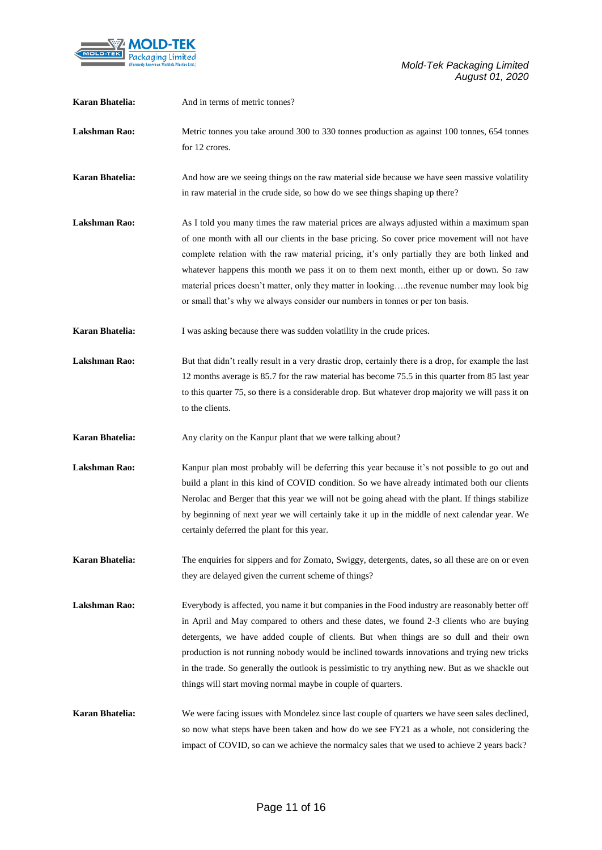

| Karan Bhatelia:        | And in terms of metric tonnes?                                                                                                                                                                                                                                                                                                                                                                                                                                                                                                                                         |
|------------------------|------------------------------------------------------------------------------------------------------------------------------------------------------------------------------------------------------------------------------------------------------------------------------------------------------------------------------------------------------------------------------------------------------------------------------------------------------------------------------------------------------------------------------------------------------------------------|
| <b>Lakshman Rao:</b>   | Metric tonnes you take around 300 to 330 tonnes production as against 100 tonnes, 654 tonnes<br>for 12 crores.                                                                                                                                                                                                                                                                                                                                                                                                                                                         |
| <b>Karan Bhatelia:</b> | And how are we seeing things on the raw material side because we have seen massive volatility<br>in raw material in the crude side, so how do we see things shaping up there?                                                                                                                                                                                                                                                                                                                                                                                          |
| <b>Lakshman Rao:</b>   | As I told you many times the raw material prices are always adjusted within a maximum span<br>of one month with all our clients in the base pricing. So cover price movement will not have<br>complete relation with the raw material pricing, it's only partially they are both linked and<br>whatever happens this month we pass it on to them next month, either up or down. So raw<br>material prices doesn't matter, only they matter in lookingthe revenue number may look big<br>or small that's why we always consider our numbers in tonnes or per ton basis. |
| Karan Bhatelia:        | I was asking because there was sudden volatility in the crude prices.                                                                                                                                                                                                                                                                                                                                                                                                                                                                                                  |
| <b>Lakshman Rao:</b>   | But that didn't really result in a very drastic drop, certainly there is a drop, for example the last<br>12 months average is 85.7 for the raw material has become 75.5 in this quarter from 85 last year<br>to this quarter 75, so there is a considerable drop. But whatever drop majority we will pass it on<br>to the clients.                                                                                                                                                                                                                                     |
| <b>Karan Bhatelia:</b> | Any clarity on the Kanpur plant that we were talking about?                                                                                                                                                                                                                                                                                                                                                                                                                                                                                                            |
| <b>Lakshman Rao:</b>   | Kanpur plan most probably will be deferring this year because it's not possible to go out and<br>build a plant in this kind of COVID condition. So we have already intimated both our clients<br>Nerolac and Berger that this year we will not be going ahead with the plant. If things stabilize<br>by beginning of next year we will certainly take it up in the middle of next calendar year. We<br>certainly deferred the plant for this year.                                                                                                                     |
| Karan Bhatelia:        | The enquiries for sippers and for Zomato, Swiggy, detergents, dates, so all these are on or even<br>they are delayed given the current scheme of things?                                                                                                                                                                                                                                                                                                                                                                                                               |
| Lakshman Rao:          | Everybody is affected, you name it but companies in the Food industry are reasonably better off<br>in April and May compared to others and these dates, we found 2-3 clients who are buying<br>detergents, we have added couple of clients. But when things are so dull and their own<br>production is not running nobody would be inclined towards innovations and trying new tricks<br>in the trade. So generally the outlook is pessimistic to try anything new. But as we shackle out<br>things will start moving normal maybe in couple of quarters.              |
| Karan Bhatelia:        | We were facing issues with Mondelez since last couple of quarters we have seen sales declined,<br>so now what steps have been taken and how do we see FY21 as a whole, not considering the<br>impact of COVID, so can we achieve the normalcy sales that we used to achieve 2 years back?                                                                                                                                                                                                                                                                              |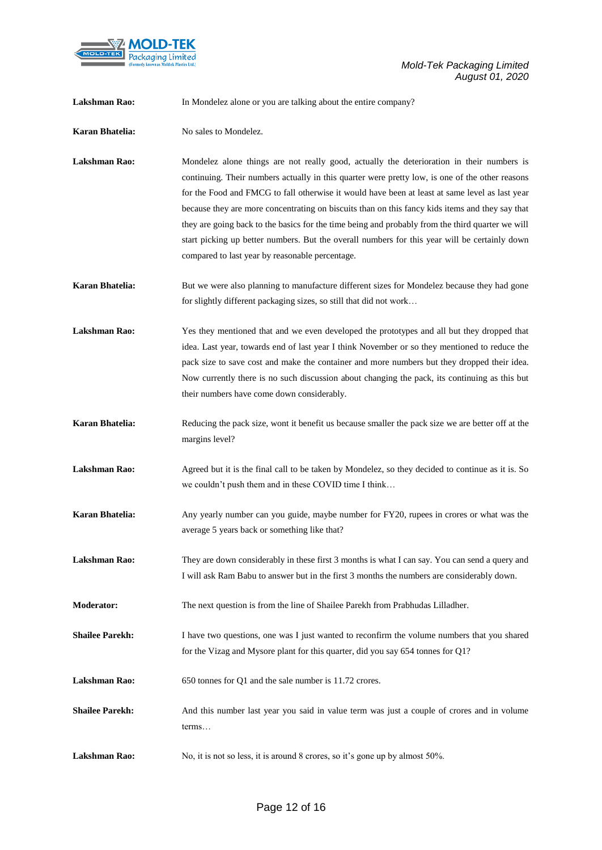

| <b>Lakshman Rao:</b>   | In Mondelez alone or you are talking about the entire company?                                                                                                                                                                                                                                                                                                                                                                                                                                                                                                                                                                                            |
|------------------------|-----------------------------------------------------------------------------------------------------------------------------------------------------------------------------------------------------------------------------------------------------------------------------------------------------------------------------------------------------------------------------------------------------------------------------------------------------------------------------------------------------------------------------------------------------------------------------------------------------------------------------------------------------------|
| Karan Bhatelia:        | No sales to Mondelez.                                                                                                                                                                                                                                                                                                                                                                                                                                                                                                                                                                                                                                     |
| <b>Lakshman Rao:</b>   | Mondelez alone things are not really good, actually the deterioration in their numbers is<br>continuing. Their numbers actually in this quarter were pretty low, is one of the other reasons<br>for the Food and FMCG to fall otherwise it would have been at least at same level as last year<br>because they are more concentrating on biscuits than on this fancy kids items and they say that<br>they are going back to the basics for the time being and probably from the third quarter we will<br>start picking up better numbers. But the overall numbers for this year will be certainly down<br>compared to last year by reasonable percentage. |
| Karan Bhatelia:        | But we were also planning to manufacture different sizes for Mondelez because they had gone<br>for slightly different packaging sizes, so still that did not work                                                                                                                                                                                                                                                                                                                                                                                                                                                                                         |
| <b>Lakshman Rao:</b>   | Yes they mentioned that and we even developed the prototypes and all but they dropped that<br>idea. Last year, towards end of last year I think November or so they mentioned to reduce the<br>pack size to save cost and make the container and more numbers but they dropped their idea.<br>Now currently there is no such discussion about changing the pack, its continuing as this but<br>their numbers have come down considerably.                                                                                                                                                                                                                 |
| Karan Bhatelia:        | Reducing the pack size, wont it benefit us because smaller the pack size we are better off at the<br>margins level?                                                                                                                                                                                                                                                                                                                                                                                                                                                                                                                                       |
| <b>Lakshman Rao:</b>   | Agreed but it is the final call to be taken by Mondelez, so they decided to continue as it is. So<br>we couldn't push them and in these COVID time I think                                                                                                                                                                                                                                                                                                                                                                                                                                                                                                |
| <b>Karan Bhatelia:</b> | Any yearly number can you guide, maybe number for FY20, rupees in crores or what was the<br>average 5 years back or something like that?                                                                                                                                                                                                                                                                                                                                                                                                                                                                                                                  |
| Lakshman Rao:          | They are down considerably in these first 3 months is what I can say. You can send a query and<br>I will ask Ram Babu to answer but in the first 3 months the numbers are considerably down.                                                                                                                                                                                                                                                                                                                                                                                                                                                              |
| Moderator:             | The next question is from the line of Shailee Parekh from Prabhudas Lilladher.                                                                                                                                                                                                                                                                                                                                                                                                                                                                                                                                                                            |
| <b>Shailee Parekh:</b> | I have two questions, one was I just wanted to reconfirm the volume numbers that you shared<br>for the Vizag and Mysore plant for this quarter, did you say 654 tonnes for Q1?                                                                                                                                                                                                                                                                                                                                                                                                                                                                            |
| Lakshman Rao:          | 650 tonnes for Q1 and the sale number is 11.72 crores.                                                                                                                                                                                                                                                                                                                                                                                                                                                                                                                                                                                                    |
| <b>Shailee Parekh:</b> | And this number last year you said in value term was just a couple of crores and in volume<br>terms                                                                                                                                                                                                                                                                                                                                                                                                                                                                                                                                                       |
| <b>Lakshman Rao:</b>   | No, it is not so less, it is around 8 crores, so it's gone up by almost 50%.                                                                                                                                                                                                                                                                                                                                                                                                                                                                                                                                                                              |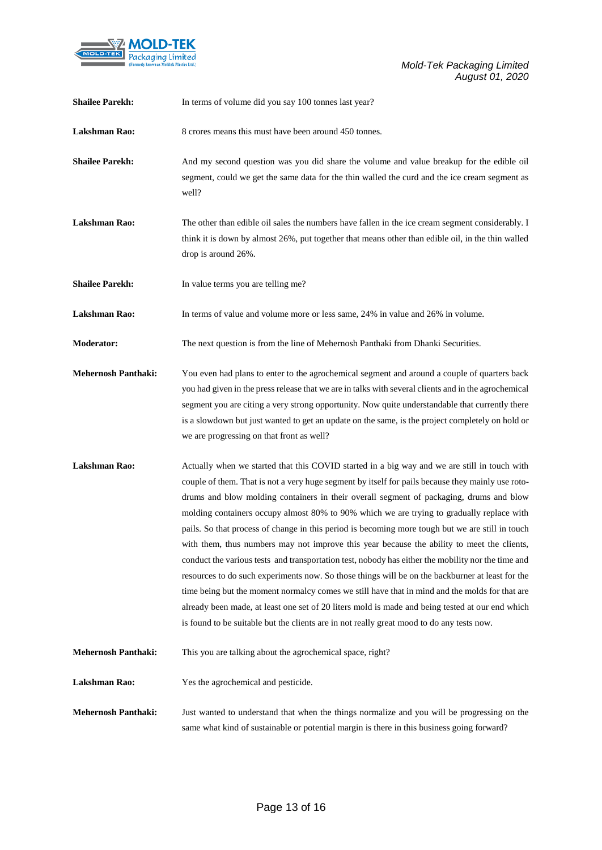

| <b>Shailee Parekh:</b>     | In terms of volume did you say 100 tonnes last year?                                                                                                                                                                                                                                                                                                                                                                                                                                                                                                                                                                                                                                                                                                                                                                                                                                                                                                                                                                                                                                                    |
|----------------------------|---------------------------------------------------------------------------------------------------------------------------------------------------------------------------------------------------------------------------------------------------------------------------------------------------------------------------------------------------------------------------------------------------------------------------------------------------------------------------------------------------------------------------------------------------------------------------------------------------------------------------------------------------------------------------------------------------------------------------------------------------------------------------------------------------------------------------------------------------------------------------------------------------------------------------------------------------------------------------------------------------------------------------------------------------------------------------------------------------------|
| <b>Lakshman Rao:</b>       | 8 crores means this must have been around 450 tonnes.                                                                                                                                                                                                                                                                                                                                                                                                                                                                                                                                                                                                                                                                                                                                                                                                                                                                                                                                                                                                                                                   |
| <b>Shailee Parekh:</b>     | And my second question was you did share the volume and value breakup for the edible oil<br>segment, could we get the same data for the thin walled the curd and the ice cream segment as<br>well?                                                                                                                                                                                                                                                                                                                                                                                                                                                                                                                                                                                                                                                                                                                                                                                                                                                                                                      |
| <b>Lakshman Rao:</b>       | The other than edible oil sales the numbers have fallen in the ice cream segment considerably. I<br>think it is down by almost 26%, put together that means other than edible oil, in the thin walled<br>drop is around 26%.                                                                                                                                                                                                                                                                                                                                                                                                                                                                                                                                                                                                                                                                                                                                                                                                                                                                            |
| <b>Shailee Parekh:</b>     | In value terms you are telling me?                                                                                                                                                                                                                                                                                                                                                                                                                                                                                                                                                                                                                                                                                                                                                                                                                                                                                                                                                                                                                                                                      |
| <b>Lakshman Rao:</b>       | In terms of value and volume more or less same, 24% in value and 26% in volume.                                                                                                                                                                                                                                                                                                                                                                                                                                                                                                                                                                                                                                                                                                                                                                                                                                                                                                                                                                                                                         |
| <b>Moderator:</b>          | The next question is from the line of Mehernosh Panthaki from Dhanki Securities.                                                                                                                                                                                                                                                                                                                                                                                                                                                                                                                                                                                                                                                                                                                                                                                                                                                                                                                                                                                                                        |
| <b>Mehernosh Panthaki:</b> | You even had plans to enter to the agrochemical segment and around a couple of quarters back<br>you had given in the press release that we are in talks with several clients and in the agrochemical<br>segment you are citing a very strong opportunity. Now quite understandable that currently there<br>is a slowdown but just wanted to get an update on the same, is the project completely on hold or<br>we are progressing on that front as well?                                                                                                                                                                                                                                                                                                                                                                                                                                                                                                                                                                                                                                                |
| <b>Lakshman Rao:</b>       | Actually when we started that this COVID started in a big way and we are still in touch with<br>couple of them. That is not a very huge segment by itself for pails because they mainly use roto-<br>drums and blow molding containers in their overall segment of packaging, drums and blow<br>molding containers occupy almost 80% to 90% which we are trying to gradually replace with<br>pails. So that process of change in this period is becoming more tough but we are still in touch<br>with them, thus numbers may not improve this year because the ability to meet the clients,<br>conduct the various tests and transportation test, nobody has either the mobility nor the time and<br>resources to do such experiments now. So those things will be on the backburner at least for the<br>time being but the moment normalcy comes we still have that in mind and the molds for that are<br>already been made, at least one set of 20 liters mold is made and being tested at our end which<br>is found to be suitable but the clients are in not really great mood to do any tests now. |
| <b>Mehernosh Panthaki:</b> | This you are talking about the agrochemical space, right?                                                                                                                                                                                                                                                                                                                                                                                                                                                                                                                                                                                                                                                                                                                                                                                                                                                                                                                                                                                                                                               |
| Lakshman Rao:              | Yes the agrochemical and pesticide.                                                                                                                                                                                                                                                                                                                                                                                                                                                                                                                                                                                                                                                                                                                                                                                                                                                                                                                                                                                                                                                                     |
| <b>Mehernosh Panthaki:</b> | Just wanted to understand that when the things normalize and you will be progressing on the<br>same what kind of sustainable or potential margin is there in this business going forward?                                                                                                                                                                                                                                                                                                                                                                                                                                                                                                                                                                                                                                                                                                                                                                                                                                                                                                               |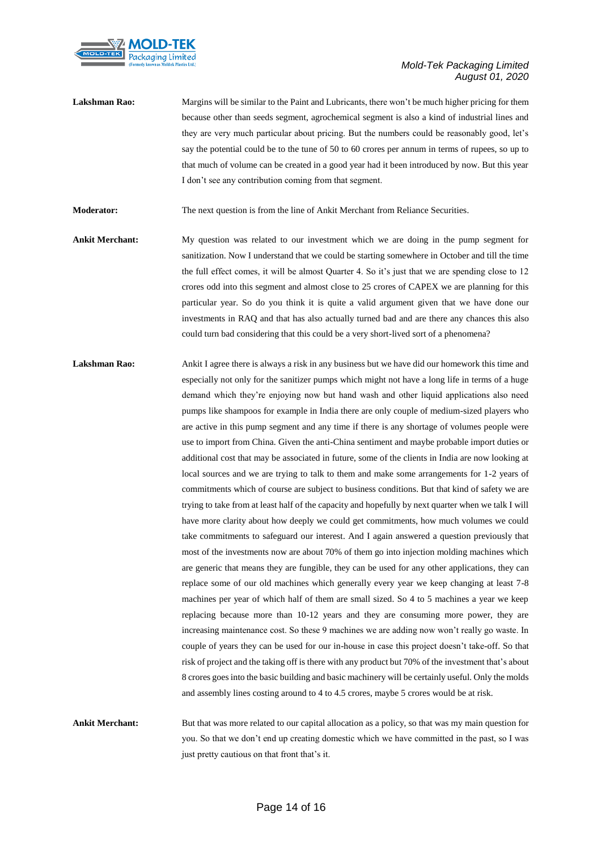

Lakshman Rao: Margins will be similar to the Paint and Lubricants, there won't be much higher pricing for them because other than seeds segment, agrochemical segment is also a kind of industrial lines and they are very much particular about pricing. But the numbers could be reasonably good, let's say the potential could be to the tune of 50 to 60 crores per annum in terms of rupees, so up to that much of volume can be created in a good year had it been introduced by now. But this year I don't see any contribution coming from that segment.

**Moderator:** The next question is from the line of Ankit Merchant from Reliance Securities.

- **Ankit Merchant:** My question was related to our investment which we are doing in the pump segment for sanitization. Now I understand that we could be starting somewhere in October and till the time the full effect comes, it will be almost Quarter 4. So it's just that we are spending close to 12 crores odd into this segment and almost close to 25 crores of CAPEX we are planning for this particular year. So do you think it is quite a valid argument given that we have done our investments in RAQ and that has also actually turned bad and are there any chances this also could turn bad considering that this could be a very short-lived sort of a phenomena?
- Lakshman Rao: Ankit I agree there is always a risk in any business but we have did our homework this time and especially not only for the sanitizer pumps which might not have a long life in terms of a huge demand which they're enjoying now but hand wash and other liquid applications also need pumps like shampoos for example in India there are only couple of medium-sized players who are active in this pump segment and any time if there is any shortage of volumes people were use to import from China. Given the anti-China sentiment and maybe probable import duties or additional cost that may be associated in future, some of the clients in India are now looking at local sources and we are trying to talk to them and make some arrangements for 1-2 years of commitments which of course are subject to business conditions. But that kind of safety we are trying to take from at least half of the capacity and hopefully by next quarter when we talk I will have more clarity about how deeply we could get commitments, how much volumes we could take commitments to safeguard our interest. And I again answered a question previously that most of the investments now are about 70% of them go into injection molding machines which are generic that means they are fungible, they can be used for any other applications, they can replace some of our old machines which generally every year we keep changing at least 7-8 machines per year of which half of them are small sized. So 4 to 5 machines a year we keep replacing because more than 10-12 years and they are consuming more power, they are increasing maintenance cost. So these 9 machines we are adding now won't really go waste. In couple of years they can be used for our in-house in case this project doesn't take-off. So that risk of project and the taking off is there with any product but 70% of the investment that's about 8 crores goes into the basic building and basic machinery will be certainly useful. Only the molds and assembly lines costing around to 4 to 4.5 crores, maybe 5 crores would be at risk.

**Ankit Merchant:** But that was more related to our capital allocation as a policy, so that was my main question for you. So that we don't end up creating domestic which we have committed in the past, so I was just pretty cautious on that front that's it.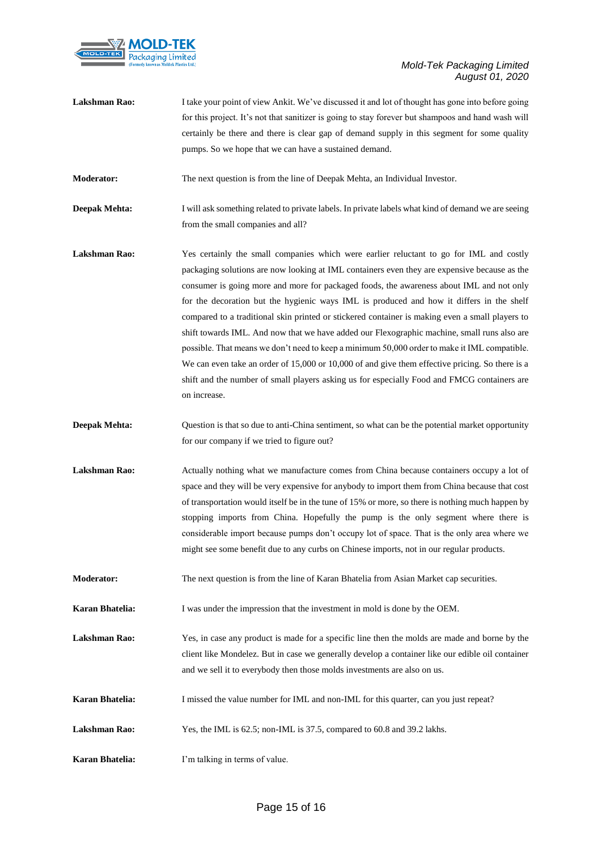

| Lakshman Rao:        | I take your point of view Ankit. We've discussed it and lot of thought has gone into before going<br>for this project. It's not that sanitizer is going to stay forever but shampoos and hand wash will<br>certainly be there and there is clear gap of demand supply in this segment for some quality<br>pumps. So we hope that we can have a sustained demand.                                                                                                                                                                                                                                                                                                                                                                                                                                                                                                                                    |
|----------------------|-----------------------------------------------------------------------------------------------------------------------------------------------------------------------------------------------------------------------------------------------------------------------------------------------------------------------------------------------------------------------------------------------------------------------------------------------------------------------------------------------------------------------------------------------------------------------------------------------------------------------------------------------------------------------------------------------------------------------------------------------------------------------------------------------------------------------------------------------------------------------------------------------------|
| <b>Moderator:</b>    | The next question is from the line of Deepak Mehta, an Individual Investor.                                                                                                                                                                                                                                                                                                                                                                                                                                                                                                                                                                                                                                                                                                                                                                                                                         |
| <b>Deepak Mehta:</b> | I will ask something related to private labels. In private labels what kind of demand we are seeing<br>from the small companies and all?                                                                                                                                                                                                                                                                                                                                                                                                                                                                                                                                                                                                                                                                                                                                                            |
| <b>Lakshman Rao:</b> | Yes certainly the small companies which were earlier reluctant to go for IML and costly<br>packaging solutions are now looking at IML containers even they are expensive because as the<br>consumer is going more and more for packaged foods, the awareness about IML and not only<br>for the decoration but the hygienic ways IML is produced and how it differs in the shelf<br>compared to a traditional skin printed or stickered container is making even a small players to<br>shift towards IML. And now that we have added our Flexographic machine, small runs also are<br>possible. That means we don't need to keep a minimum 50,000 order to make it IML compatible.<br>We can even take an order of 15,000 or 10,000 of and give them effective pricing. So there is a<br>shift and the number of small players asking us for especially Food and FMCG containers are<br>on increase. |
| <b>Deepak Mehta:</b> | Question is that so due to anti-China sentiment, so what can be the potential market opportunity<br>for our company if we tried to figure out?                                                                                                                                                                                                                                                                                                                                                                                                                                                                                                                                                                                                                                                                                                                                                      |
| <b>Lakshman Rao:</b> | Actually nothing what we manufacture comes from China because containers occupy a lot of<br>space and they will be very expensive for anybody to import them from China because that cost<br>of transportation would itself be in the tune of 15% or more, so there is nothing much happen by<br>stopping imports from China. Hopefully the pump is the only segment where there is<br>considerable import because pumps don't occupy lot of space. That is the only area where we<br>might see some benefit due to any curbs on Chinese imports, not in our regular products.                                                                                                                                                                                                                                                                                                                      |
| <b>Moderator:</b>    | The next question is from the line of Karan Bhatelia from Asian Market cap securities.                                                                                                                                                                                                                                                                                                                                                                                                                                                                                                                                                                                                                                                                                                                                                                                                              |
| Karan Bhatelia:      | I was under the impression that the investment in mold is done by the OEM.                                                                                                                                                                                                                                                                                                                                                                                                                                                                                                                                                                                                                                                                                                                                                                                                                          |
| Lakshman Rao:        | Yes, in case any product is made for a specific line then the molds are made and borne by the<br>client like Mondelez. But in case we generally develop a container like our edible oil container<br>and we sell it to everybody then those molds investments are also on us.                                                                                                                                                                                                                                                                                                                                                                                                                                                                                                                                                                                                                       |
| Karan Bhatelia:      | I missed the value number for IML and non-IML for this quarter, can you just repeat?                                                                                                                                                                                                                                                                                                                                                                                                                                                                                                                                                                                                                                                                                                                                                                                                                |
| Lakshman Rao:        | Yes, the IML is 62.5; non-IML is 37.5, compared to 60.8 and 39.2 lakhs.                                                                                                                                                                                                                                                                                                                                                                                                                                                                                                                                                                                                                                                                                                                                                                                                                             |
| Karan Bhatelia:      | I'm talking in terms of value.                                                                                                                                                                                                                                                                                                                                                                                                                                                                                                                                                                                                                                                                                                                                                                                                                                                                      |